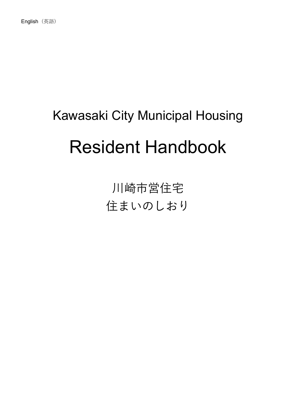# Kawasaki City Municipal Housing Resident Handbook

川崎市営住宅 住まいのしおり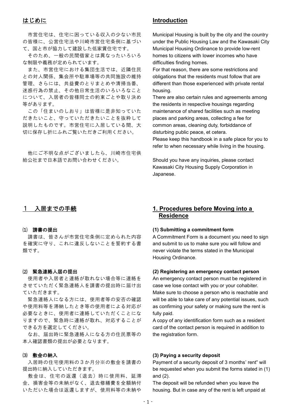# はじめに

市営住宅は、住宅に困っている収入の少ない市民 の皆様に、公営住宅法や川崎市営住宅条例に基づい て、国と市が協力して建設した低家賃住宅です。

そのため、一般の民間借家とは異なったいろいろ な制限や義務が定められています。

また、市営住宅における集団生活では、近隣住民 との対人関係、集会所や駐車場等の共同施設の維持 管理、さらには、共益費のとりまとめや清掃当番、 迷惑行為の禁止、その他日常生活のいろいろなこと について、入居者の皆様同士の約束ごとや取り決め 等があります。

この「住まいのしおり」は皆様に是非知っていた だきたいこと、守っていただきたいことを抜粋して 説明したものです。市営住宅に入居している間、大 切に保存し折にふれご覧いただきご利用ください。

他にご不明な点がございましたら、川崎市住宅供 給公社まで日本語でお問い合わせください。

# **Introduction**

Municipal Housing is built by the city and the country under the Public Housing Law and the Kawasaki City Municipal Housing Ordinance to provide low-rent homes to citizens with lower incomes who have difficulties finding homes.

For that reason, there are some restrictions and obligations that the residents must follow that are different than those experienced with private rental housing.

There are also certain rules and agreements among the residents in respective housings regarding maintenance of shared facilities such as meeting places and parking areas, collecting a fee for common areas, cleaning duty, forbiddance of disturbing public peace, et cetera.

Please keep this handbook in a safe place for you to refer to when necessary while living in the housing.

Should you have any inquiries, please contact Kawasaki City Housing Supply Corporation in Japanese.

## 1 入居までの手続

## ⑴ 請書の提出

請書は、皆さんが市営住宅条例に定められた内容 を確実に守り、これに違反しないことを誓約する書 類です。

## ⑵ 緊急連絡人届の提出

使用者や入居者と連絡が取れない場合等に連絡を させていただく緊急連絡人を請書の提出時に届け出 ていただきます。

緊急連絡人になる方には、使用者等の安否の確認 や使用料等を滞納したとき等の使用者による対応が 必要なときに、使用者に連絡していただくことにな りますので、緊急時に連絡が取れ、対応することが できる方を選定してください。

なお、届出時に緊急連絡人になる方の住民票等の 本人確認書類の提出が必要となります。

## ⑶ 敷金の納入

入居時の住宅使用料の3か月分※の敷金を請書の 提出時に納入していただきます。

敷金は、住宅の返還(退去)時に使用料、延滞 金、損害金等の未納がなく、退去修繕費を全額納付 いただいた場合は返還しますが、使用料等の未納や

# **1. Procedures before Moving into a Residence**

### **(1) Submitting a commitment form**

A Commitment Form is a document you need to sign and submit to us to make sure you will follow and never violate the terms stated in the Municipal Housing Ordinance.

#### **(2) Registering an emergency contact person**

An emergency contact person must be registered in case we lose contact with you or your cohabiter. Make sure to choose a person who is reachable and will be able to take care of any potential issues, such as confirming your safety or making sure the rent is fully paid.

A copy of any identification form such as a resident card of the contact person is required in addition to the registration form.

## **(3) Paying a security deposit**

Payment of a security deposit of 3 months' rent\* will be requested when you submit the forms stated in (1) and (2).

The deposit will be refunded when you leave the housing. But in case any of the rent is left unpaid at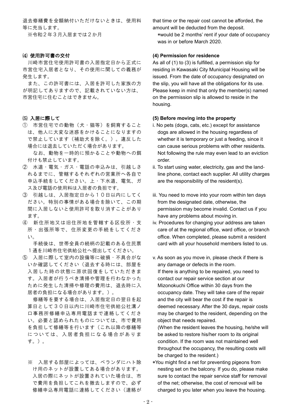退去修繕費を全額納付いただけないときは、使用料 等に充当します。

※令和2年3月入居までは2か月

## ⑷ 使用許可書の交付

川崎市営住宅使用許可書の入居指定日から正式に 市営住宅入居者となり、その使用に関しての義務が 発生します。

また、この許可書には、入居を許可した家族の方 が明記してありますので、記載されていない方は、 市営住宅に住むことはできません。

## ⑸ 入居に際して

① 市営住宅での動物(犬・猫等)を飼育すること は、他人に大変な迷惑をかけることになりますの で禁止しています(補助犬を除く。)。違反した 場合には退去していただく場合があります。

 なお、動物を一時的に預かることや動物への餌 付けも禁止しています。

- ② 水道・電気・ガス・電話の申込みは、引越しさ れるまでに、管轄するそれぞれの営業所へ各自で 申込手続をしてください。上・下水道、電気、ガ ス及び電話の使用料は入居者の負担です。
- ③ 引越しは、入居指定日から10日以内にしてく ださい。特別の事情がある場合を除いて、この期 間に入居しないと使用許可を取り消すことがあり ます。
- ④ 新住所地又は旧住所地を管轄する区役所・支 所・出張所等で、住所変更の手続をしてくださ  $U_{\alpha}$

 手続後は、世帯全員の続柄の記載のある住民票 1通を川崎市住宅供給公社へ提出してください。

⑤ 入居に際して室内の設備等に破損・不具合がな いか確認してください(退去する時には、部屋を 入居した時の状態に原状回復をしていただきま す。入居者が行うべき清掃や管理を行わなかった ために発生した清掃や修理の費用は、退去時に入 居者の負担になる場合があります。)。

 修繕等を要する場合は、入居指定日の翌日を起 算日として30日以内に川崎市住宅供給公社溝ノ 口事務所修繕申込専用電話まで連絡してくださ い。必要と認められたものについては、市で費用 を負担して修繕等を行います(これ以降の修繕等 につい ては、入居者負担にな る場合がありま す。)。

※ 入居する部屋によっては、ベランダにハト除 け用のネットが設置してある場合があります。 入居の際にネットが設置されていた場合は、市 で費用を負担してこれを撤去しますので、必ず 修繕申込専用電話に連絡してください(連絡が that time or the repair cost cannot be afforded, the amount will be deducted from the deposit.

 \*would be 2 months' rent if your date of occupancy was in or before March 2020.

## **(4) Permission for residence**

As all of (1) to (3) is fulfilled, a permission slip for residing in Kawasaki City Municipal Housing will be issued. From the date of occupancy designated on the slip, you will have all the obligations for its use. Please keep in mind that only the member(s) named on the permission slip is allowed to reside in the housing.

## **(5) Before moving into the property**

- i. No pets (dogs, cats, etc.) except for assistance dogs are allowed in the housing regardless of whether it is temporary or just a feeding, since it can cause serious problems with other residents. Not following the rule may even lead to an eviction order.
- ii. To start using water, electricity, gas and the landline phone, contact each supplier. All utility charges are the responsibility of the resident(s).
- iii. You need to move into your room within ten days from the designated date, otherwise, the permission may become invalid. Contact us if you have any problems about moving in.
- iv. Procedures for changing your address are taken care of at the regional office, ward office, or branch office. When completed, please submit a resident card with all your household members listed to us.
- v. As soon as you move in, please check if there is any damage or defects in the room. If there is anything to be repaired, you need to contact our repair service section at our Mizonokuchi Office within 30 days from the occupancy date. They will take care of the repair and the city will bear the cost if the repair is deemed necessary. After the 30 days, repair costs may be charged to the resident, depending on the object that needs repaired.
	- (When the resident leaves the housing, he/she will be asked to restore his/her room to its original condition. If the room was not maintained well throughout the occupancy, the resulting costs will be charged to the resident.)
- \*You might find a net for preventing pigeons from nesting set on the balcony. If you do, please make sure to contact the repair service staff for removal of the net; otherwise, the cost of removal will be charged to you later when you leave the housing.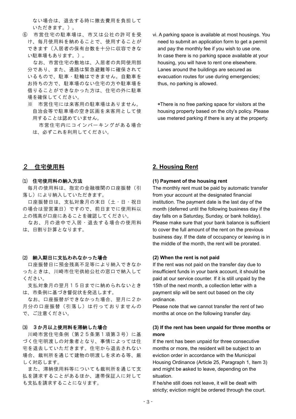ない場合は、退去する時に撤去費用を負担して いただきます。)。

⑥ 市営住宅の駐車場は、市又は公社の許可を受 け、毎月使用料を納めることで、使用することが できます(入居者の保有台数を十分に収容できな い駐車場もあります。)。

 なお、市営住宅の敷地は、入居者の共同使用部 分であり、また、通路は緊急避難等に確保されて いるもので、駐車・駐輪はできません。自動車を お持ちの方で、駐車場のない住宅の方や駐車場を 借りることができなかった方は、住宅の外に駐車 場を確保してください。

- ※ 市営住宅には来客用の駐車場はありません。 自治会等で駐車場の空き区画を来客用として使 用することは認めていません。
	- 市営住宅内にコインパーキングがある場合 は、必ずこれを利用してください。
- vi. A parking space is available at most housings. You need to submit an application form to get a permit and pay the monthly fee if you wish to use one. In case there is no parking space available at your housing, you will have to rent one elsewhere. Lanes around the buildings are secured as evacuation routes for use during emergencies; thus, no parking is allowed.

 \*There is no free parking space for visitors at the housing property based on the city's policy. Please use metered parking if there is any at the property.

# 2 住宅使用料

#### ⑴ 住宅使用料の納入方法

毎月の使用料は、指定の金融機関の口座振替(引 落し)により納入していただきます。

口座振替日は、支払対象月の末日(土・日・祝日 の場合は翌営業日)ですので、前日までに使用料以 上の残高が口座にあることを確認してください。

なお、月の途中で入居・退去する場合の使用料 は、日割り計算となります。

#### ⑵ 納入期日に支払われなかった場合

口座振替日に預金残高不足等により納入できなか ったときは、川崎市住宅供給公社の窓口で納入して ください。

支払対象月の翌月15日までに納められないとき は、市条例に基づき督促状を発送します。

なお、口座振替ができなかった場合、翌月に2か 月分の口座振替(引落し)は行っておりませんの で、ご注意ください。

### ⑶ 3か月以上使用料を滞納した場合

川崎市営住宅条例(第25条第1項第3号)に基 づく住宅明渡しの対象者となり、事情によっては住 宅を退去していただきます。住宅から退去されない 場合、裁判所を通じて建物の明渡しを求める等、厳 しく対応します。

また、滞納使用料等についても裁判所を通じて支 払を請求することがあるほか、連帯保証人に対して も支払を請求することになります。

# **2. Housing Rent**

#### **(1) Payment of the housing rent**

The monthly rent must be paid by automatic transfer from your account at the designated financial institution. The payment date is the last day of the month (deferred until the following business day if the day falls on a Saturday, Sunday, or bank holiday). Please make sure that your bank balance is sufficient to cover the full amount of the rent on the previous business day. If the date of occupancy or leaving is in the middle of the month, the rent will be prorated.

## **(2) When the rent is not paid**

If the rent was not paid on the transfer day due to insufficient funds in your bank account, it should be paid at our service counter. If it is still unpaid by the 15th of the next month, a collection letter with a payment slip will be sent out based on the city ordinance.

Please note that we cannot transfer the rent of two months at once on the following transfer day.

## **(3) If the rent has been unpaid for three months or more**

If the rent has been unpaid for three consecutive months or more, the resident will be subject to an eviction order in accordance with the Municipal Housing Ordinance (Article 25, Paragraph 1, Item 3) and might be asked to leave, depending on the situation.

If he/she still does not leave, it will be dealt with strictly; eviction might be ordered through the court.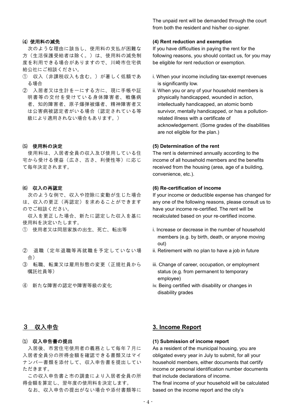## ⑷ 使用料の減免

次のような理由に該当し、使用料の支払が困難な 方(生活保護受給者は除く。)は、使用料の減免制 度を利用できる場合がありますので、川崎市住宅供 給公社にご相談ください。

- ① 収入(非課税収入も含む。)が著しく低額であ る場合
- ② 入居者又は生計を一にする方に、現に手帳や証 明書等の交付を受けている身体障害者、戦傷病 者、知的障害者、原子爆弾被爆者、精神障害者又 は公害病被認定者がいる場合(認定されている等 級により適用されない場合もあります。)

## ⑸ 使用料の決定

使用料は、入居者全員の収入及び使用している住 宅から受ける便益(広さ、古さ、利便性等)に応じ て毎年決定されます。

## ⑹ 収入の再認定

次のような例で、収入や控除に変動が生じた場合 は、収入の更正(再認定)を求めることができます のでご相談ください。

収入を更正した場合、新たに認定した収入を基に 使用料を決定いたします。

- ① 使用者又は同居家族の出生、死亡、転出等
- ② 退職(定年退職等再就職を予定していない場 合)
- ③ 転職、転業又は雇用形態の変更(正規社員から 嘱託社員等)
- ④ 新たな障害の認定や障害等級の変化

The unpaid rent will be demanded through the court from both the resident and his/her co-signer.

#### **(4) Rent reduction and exemption**

If you have difficulties in paying the rent for the following reasons, you should contact us, for you may be eligible for rent reduction or exemption.

- i. When your income including tax-exempt revenues is significantly low.
- ii. When you or any of your household members is physically handicapped, wounded in action, intellectually handicapped, an atomic bomb survivor, mentally handicapped, or has a pollutionrelated illness with a certificate of acknowledgement. (Some grades of the disabilities are not eligible for the plan.)

#### **(5) Determination of the rent**

The rent is determined annually according to the income of all household members and the benefits received from the housing (area, age of a building, convenience, etc.).

#### **(6) Re-certification of income**

If your income or deductible expense has changed for any one of the following reasons, please consult us to have your income re-certified. The rent will be recalculated based on your re-certified income.

- i. Increase or decrease in the number of household members (e.g. by birth, death, or anyone moving out)
- ii. Retirement with no plan to have a job in future
- iii. Change of career, occupation, or employment status (e.g. from permanent to temporary employee)
- iv. Being certified with disability or changes in disability grades

# 3 収入申告

## ⑴ 収入申告書の提出

入居後、市営住宅使用者の義務として毎年7月に 入居者全員分の所得金額を確認できる書類又はマイ ナンバー書類を添付して、収入申告書を提出してい ただきます。

この収入申告書と市の調査により入居者全員の所 得金額を算定し、翌年度の使用料を決定します。

なお、収入申告の提出がない場合や添付書類等に

## **3. Income Report**

## **(1) Submission of income report**

As a resident of the municipal housing, you are obligated every year in July to submit, for all your household members, either documents that certify income or personal identification number documents that include declarations of income.

The final income of your household will be calculated based on the income report and the city's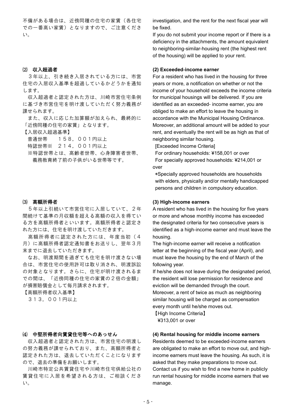不備がある場合は、近傍同種の住宅の家賃(各住宅 での一番高い家賃)となりますので、ご注意くださ い。

## ⑵ 収入超過者

3年以上、引き続き入居されている方には、市営 住宅の入居収入基準を超過しているかどうかを通知 します。

収入超過者と認定された方は、川崎市営住宅条例 に基づき市営住宅を明け渡していただく努力義務が 課せられます。

また、収入に応じた加算額が加えられ、最終的に 「近傍同種の住宅の家賃」となります。

【入居収入超過基準】

普通世帯 158,001円以上

特認世帯※ 214,001円以上

※特認世帯とは、高齢者世帯、心身障害者世帯、 義務教育終了前の子供がいる世帯等です。

## ⑶ 高額所得者

5年以上引続いて市営住宅に入居していて、2年 間続けて基準の月収額を超える高額の収入を得てい る方を高額所得者といいます。高額所得者と認定さ れた方には、住宅を明け渡していただきます。

高額所得者に認定された方には、年度当初(4 月)に高額所得者認定通知書をお送りし、翌年3月 末までに退去していただきます。

なお、明渡期間を過ぎても住宅を明け渡さない場 合は、市営住宅の使用許可は取り消され、明渡訴訟 の対象となります。さらに、住宅が明け渡されるま での間は、「近傍同種の住宅の家賃の2倍の金額」 が損害賠償金として毎月請求されます。

【高額所得者収入基準】

313,001円以上

## ⑷ 中堅所得者向賃貸住宅等へのあっせん

収入超過者と認定された方は、市営住宅の明渡し の努力義務が課せられており、また、高額所得者と 認定された方は、退去していただくことになります ので、退去の準備をお願いします。

川崎市特定公共賃貸住宅や川崎市住宅供給公社の 賃貸住宅に入居を希望される方は、ご相談くださ い。

investigation, and the rent for the next fiscal year will be fixed.

If you do not submit your income report or if there is a deficiency in the attachments, the amount equivalent to neighboring-similar-housing rent (the highest rent of the housing) will be applied to your rent.

#### **(2) Exceeded-income earner**

For a resident who has lived in the housing for three years or more, a notification on whether or not the income of your household exceeds the income criteria for municipal housings will be delivered. If you are identified as an exceeded- income earner, you are obliged to make an effort to leave the housing in accordance with the Municipal Housing Ordinance. Moreover, an additional amount will be added to your rent, and eventually the rent will be as high as that of neighboring similar housing.

[Exceeded Income Criteria]

For ordinary households: ¥158,001 or over For specially approved households: ¥214,001 or over

\*Specially approved households are households with elders, physically and/or mentally handicapped persons and children in compulsory education.

#### **(3) High-income earners**

A resident who has lived in the housing for five years or more and whose monthly income has exceeded the designated criteria for two consecutive years is identified as a high-income earner and must leave the housing.

The high-income earner will receive a notification letter at the beginning of the fiscal year (April), and must leave the housing by the end of March of the following year.

If he/she does not leave during the designated period, the resident will lose permission for residence and eviction will be demanded through the court. Moreover, a rent of twice as much as neighboring similar housing will be charged as compensation every month until he/she moves out.

【High Income Criteria】 ¥313,001 or over

## **(4) Rental housing for middle income earners**

Residents deemed to be exceeded-income earners are obligated to make an effort to move out, and highincome earners must leave the housing. As such, it is asked that they make preparations to move out. Contact us if you wish to find a new home in publicly run rental housing for middle income earners that we manage.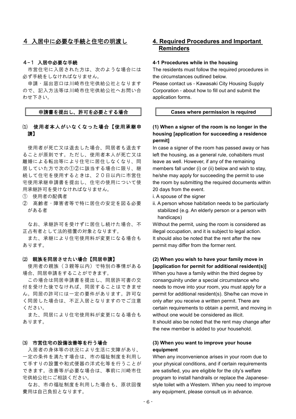# 4 入居中に必要な手続と住宅の明渡し

## 4-1 入居中必要な手続

市営住宅に入居された方は、次のような場合には 必ず手続をしなければなりません。

申請・届出窓口は川崎市住宅供給公社となります ので、記入方法等は川崎市住宅供給公社へお問い合 わせ下さい。

## 申請書を提出し、許可を必要とする場合

## ⑴ 使用者本人がいなくなった場合【使用承継申 請】

使用者が死亡又は退去した場合、同居者も退去す ることが原則です。ただし、使用者本人が死亡又は 離婚による転出等により住宅に居住しなくなり、同 居していた方で次の①②に該当する場合に限り、継 続して住宅を使用するときは、20日以内に市営住 宅使用承継申請書を提出し、住宅の使用について使 用承継許可を受けなければなりません。

- ① 使用者の配偶者
- ② 高齢者・障害者等で特に居住の安定を図る必要 がある者

なお、承継許可を受けずに居住し続けた場合、不 正占有者として法的措置の対象となります。

また、承継により住宅使用料が変更になる場合も あります。

## ⑵ 親族を同居させたい場合【同居申請】

使用者の親族(3親等以内)で特別の事情がある 場合、同居申請をすることができます。

この場合は同居申請書を提出し、同居許可書の交 付を受けた後でなければ、同居することはできませ ん。同居の許可には一定の要件があります。許可な く同居した場合は、不正入居となりますのでご注意 ください。

また、同居により住宅使用料が変更になる場合も あります。

#### ⑶ 市営住宅の設備改善等を行う場合

入居者の身体等の状況により生活に支障があり、 一定の条件を満たす場合は、市の福祉制度を利用し て手すりの設置や和式便器の洋式化等を行うことが できます。改善等が必要な場合は、事前に川崎市住 宅供給公社にご相談ください。

なお、市の福祉制度を利用した場合も、原状回復 費用は自己負担となります。

# **4. Required Procedures and Important Reminders**

#### **4-1 Procedures while in the housing**

The residents must follow the required procedures in the circumstances outlined below.

Please contact us - Kawasaki City Housing Supply Corporation - about how to fill out and submit the application forms.

## **Cases where permission is required**

# **(1) When a signer of the room is no longer in the housing [application for succeeding a residence permit]**

In case a signer of the room has passed away or has left the housing, as a general rule, cohabiters must leave as well. However, if any of the remaining members fall under (i) or (ii) below and wish to stay, he/she may apply for succeeding the permit to use the room by submitting the required documents within 20 days from the event.

i. A spouse of the signer

ii. A person whose habitation needs to be particularly stabilized (e.g. An elderly person or a person with handicaps)

Without the permit, using the room is considered as illegal occupation, and it is subject to legal action. It should also be noted that the rent after the new permit may differ from the former rent.

## **(2) When you wish to have your family move in [application for permit for additional resident(s)]**

When you have a family within the third degree by consanguinity under a special circumstance who needs to move into your room, you must apply for a permit for additional resident(s). She/he can move in only after you receive a written permit. There are certain requirements to obtain a permit, and moving in without one would be considered as illicit. It should also be noted that the rent may change after the new member is added to your household.

## **(3) When you want to improve your house equipment**

When any inconvenience arises in your room due to your physical conditions, and if certain requirements are satisfied, you are eligible for the city's welfare program to install handrails or replace the Japanesestyle toilet with a Western. When you need to improve any equipment, please consult us in advance.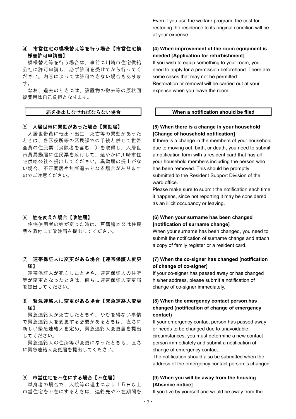# ⑷ 市営住宅の模様替え等を行う場合【市営住宅模 様替許可申請書】

模様替え等を行う場合は、事前に川崎市住宅供給 公社に許可申請し、必ず許可を受けてから行ってく ださい。内容によっては許可できない場合もありま す。

なお、退去のときには、設置物の撤去等の原状回 復費用は自己負担となります。

## 届を提出しなければならない場合

## ⑸ 入居世帯に異動があった場合【異動届】

入居世帯員に転出・出生・死亡等の異動があった ときは、各区役所等の区民課での手続と併せて世帯 全員の住民票(消除者を含む。)を取得し、入居世 帯員異動届に住民票を添付して、速やかに川崎市住 宅供給公社へ提出してください。異動届の提出がな い場合、不正同居や無断退去となる場合があります のでご注意ください。

## ⑹ 姓を変えた場合【改姓届】

住宅使用者の姓が変った時は、戸籍謄本又は住民 票を添付して改姓届を提出してください。

# ⑺ 連帯保証人に変更がある場合【連帯保証人変更 届】

連帯保証人が死亡したときや、連帯保証人の住所 等が変更となったときは、直ちに連帯保証人変更届 を提出してください。

## ⑻ 緊急連絡人に変更がある場合【緊急連絡人変更 届】

緊急連絡人が死亡したときや、やむを得ない事情 で緊急連絡人を変更する必要があるときは、直ちに 新しい緊急連絡人を定め、緊急連絡人変更届を提出 してください。

緊急連絡人の住所等が変更になったときも、直ち に緊急連絡人変更届を提出してください。

### ⑼ 市営住宅を不在にする場合【不在届】

単身者の場合で、入院等の理由により15日以上 市営住宅を不在にするときは、連絡先や不在期間を

Even if you use the welfare program, the cost for restoring the residence to its original condition will be at your expense.

## **(4) When improvement of the room equipment is needed [Application for refurbishment]**

If you wish to equip something to your room, you need to apply for a permission beforehand. There are some cases that may not be permitted. Restoration or removal will be carried out at your expense when you leave the room.

## **When a notification should be filed**

## **(5) When there is a change in your household [Change of household notification]**

If there is a change in the members of your household due to moving out, birth, or death, you need to submit a notification form with a resident card that has all your household members including the person who has been removed. This should be promptly submitted to the Resident Support Division of the ward office.

Please make sure to submit the notification each time it happens, since not reporting it may be considered as an illicit occupancy or leaving.

# **(6) When your surname has been changed [notification of surname change]**

When your surname has been changed, you need to submit the notification of surname change and attach a copy of family register or a resident card.

## **(7) When the co-signer has changed [notification of change of co-signer]**

If your co-signer has passed away or has changed his/her address, please submit a notification of change of co-signer immediately.

## **(8) When the emergency contact person has changed (notification of change of emergency contact)**

If your emergency contact person has passed away or needs to be changed due to unavoidable circumstances, you must determine a new contact person immediately and submit a notification of change of emergency contact.

The notification should also be submitted when the address of the emergency contact person is changed.

## **(9) When you will be away from the housing [Absence notice]**

If you live by yourself and would be away from the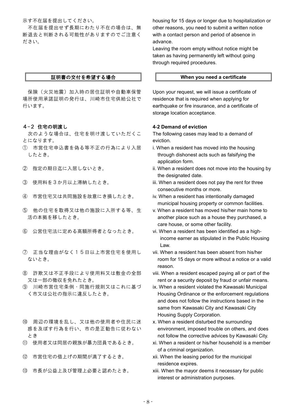示す不在届を提出してください。

不在届を提出せず長期にわたり不在の場合は、無 断退去と判断される可能性がありますのでご注意く ださい。

## 証明書の交付を希望する場合

保険(火災地震)加入時の居住証明や自動車保管 場所使用承諾証明の発行は、川崎市住宅供給公社で 行います。

## 4-2 住宅の明渡し

次のような場合は、住宅を明け渡していただくこ とになります。

- ① 市営住宅申込書を偽る等不正の行為により入居 したとき。
- ② 指定の期日迄に入居しないとき。
- ③ 使用料を3か月以上滞納したとき。
- ④ 市営住宅又は共同施設を故意にき損したとき。
- ⑤ 他の住宅を取得又は他の施設に入所する等、生 活の本拠を移したとき。
- ⑥ 公営住宅法に定める高額所得者となったとき。
- ⑦ 正当な理由がなく15日以上市営住宅を使用し ないとき。
- ⑧ 詐欺又は不正手段により使用料又は敷金の全部 又は一部の徴収を免れたとき。
- ⑨ 川崎市営住宅条例・同施行規則又はこれに基づ く市又は公社の指示に違反したとき。
- ⑩ 周辺の環境を乱し、又は他の使用者や住民に迷 惑を及ぼす行為を行い、市の是正勧告に従わない とき
- ⑪ 使用者又は同居の親族が暴力団員であるとき。
- ⑫ 市営住宅の借上げの期間が満了するとき。
- ⑬ 市長が公益上及び管理上必要と認めたとき。

housing for 15 days or longer due to hospitalization or other reasons, you need to submit a written notice with a contact person and period of absence in advance.

Leaving the room empty without notice might be taken as having permanently left without going through required procedures.

#### **When you need a certificate**

Upon your request, we will issue a certificate of residence that is required when applying for earthquake or fire insurance, and a certificate of storage location acceptance.

#### **4-2 Demand of eviction**

The following cases may lead to a demand of eviction.

- i. When a resident has moved into the housing through dishonest acts such as falsifying the application form.
- ii. When a resident does not move into the housing by the designated date.
- iii. When a resident does not pay the rent for three consecutive months or more.
- iv. When a resident has intentionally damaged municipal housing property or common facilities.
- v. When a resident has moved his/her main home to another place such as a house they purchased, a care house, or some other facility.
- vi. When a resident has been identified as a highincome earner as stipulated in the Public Housing Law.
- vii. When a resident has been absent from his/her room for 15 days or more without a notice or a valid reason.
- viii. When a resident escaped paying all or part of the rent or a security deposit by fraud or unfair means.
- ix. When a resident violated the Kawasaki Municipal Housing Ordinance or the enforcement regulations and does not follow the instructions based in the same from Kawasaki City and Kawasaki City Housing Supply Corporation.
- x. When a resident disturbed the surrounding environment, imposed trouble on others, and does not follow the corrective advices by Kawasaki City.
- xi. When a resident or his/her household is a member of a criminal organization.
- xii. When the leasing period for the municipal residence expires.
- xiii. When the mayor deems it necessary for public interest or administration purposes.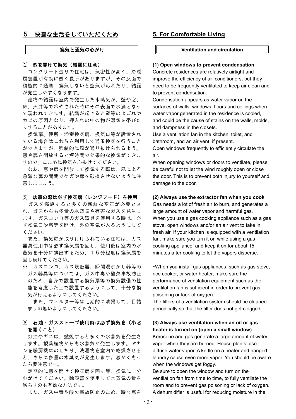## 5 快適な生活をしていただくため

## 換気と通気の心がけ

## ⑴ 窓を開けて換気(結露に注意)

コンクリート造りの住宅は、気密性が高く、冷暖 房装置が有効に働く長所がありますが、その反面で 積極的に通風・換気しないと空気が汚れたり、結露 が発生しやすくなります。

建物の結露は室内で発生した水蒸気が、壁や窓、 床、天井等で冷やされた時にその表面で水滴となっ て現われてきます。結露が起きると壁等のよごれや カビの原因となり、押入れの中の物が湿気を帯びた りすることがあります。

換気扇、便所・浴室換気扇、換気口等が設置され ている場合はこれらを利用して通風換気を行うこと ができますが、強制的に風が通り抜けられるよう、 窓や扉を開放すると短時間で効果的な換気ができま すので、こまめに換気を心掛けてください。

なお、窓や扉を開放して換気する際は、風による 急激な扉の開閉でケガや扉を破損させないように注 意しましょう。

#### ⑵ 炊事の際は必ず換気扇(レンジフード)を使用

ガスを燃焼すると多くの新鮮な空気が必要とさ れ、ガスからも多量の水蒸気や有害なガスを発生し ます。ガスコンロ等のガス器具を使用する時は、必 ず換気口や窓等を開け、外の空気が入るようにして ください。

また、換気扇が取り付けられている住宅は、ガス 器具使用中は必ず換気扇を回し、使用後は室内の水 蒸気を十分に排出するため、15分程度は換気扇を 回し続けてください。

※ ガスコンロ、ガス炊飯器、瞬間湯沸かし器等の ガス器具等については、ガス中毒や酸欠事故防止 のため、自身で設置する換気扇等の換気設備の性 能を考慮した上で設置するようにして、十分な換 気が行えるようにしてください。

また、フィルター等は定期的に清掃して、目詰 まりの無いようにしてください。

## ⑶ 石油・ガスストーブ使用時は必ず換気を(小窓 を開くこと)

灯油やガスは、燃焼すると多くの水蒸気を発生さ せます。観葉植物からも水蒸気が発生します。ヤカ ンを暖房機にのせたり、洗濯物を室内で乾燥させる と、さらに多量の水蒸気が発生します。窓がくもっ たら要注意です。

定期的に窓を開けて換気扇を回す等、換気に十分 心がけてください。除湿器を使用して水蒸気の量を 減らすのも有効な方法です。

また、ガス中毒や酸欠事故防止のため、時々窓を

## **5. For Comfortable Living**

## **Ventilation and circulation**

## **(1) Open windows to prevent condensation**

Concrete residences are relatively airtight and improve the efficiency of air-conditioners, but they need to be frequently ventilated to keep air clean and to prevent condensation.

Condensation appears as water vapor on the surfaces of walls, windows, floors and ceilings when water vapor generated in the residence is cooled, and could be the cause of stains on the walls, molds, and dampness in the closets.

Use a ventilation fan in the kitchen, toilet, and bathroom, and an air vent, if present.

Open windows frequently to efficiently circulate the air.

When opening windows or doors to ventilate, please be careful not to let the wind roughly open or close the door. This is to prevent both injury to yourself and damage to the door.

### **(2) Always use the extractor fan when you cook**

Gas needs a lot of fresh air to burn, and generates a large amount of water vapor and harmful gas. When you use a gas cooking appliance such as a gas stove, open windows and/or an air vent to take in fresh air. If your kitchen is equipped with a ventilation fan, make sure you turn it on while using a gas cooking appliance, and keep it on for about 15 minutes after cooking to let the vapors disperse.

\*When you install gas appliances, such as gas stove, rice cooker, or water heater, make sure the performance of ventilation equipment such as the ventilation fan is sufficient in order to prevent gas poisoning or lack of oxygen.

The filters of a ventilation system should be cleaned periodically so that the filter does not get clogged.

## **(3) Always use ventilation when an oil or gas heater is turned on (open a small window)**

Kerosene and gas generate a large amount of water vapor when they are burned. House plants also diffuse water vapor. A kettle on a heater and hanged laundry cause even more vapor. You should be aware when the windows get foggy.

Be sure to open the window and turn on the ventilation fan from time to time, to fully ventilate the room and to prevent gas poisoning or lack of oxygen. A dehumidifier is useful for reducing moisture in the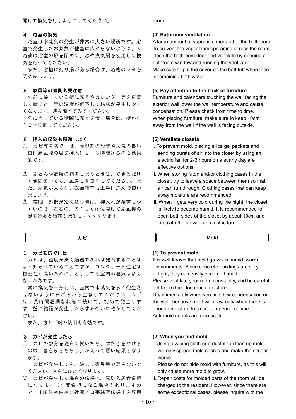#### ⑷ 浴室の換気

浴室は水蒸気の発生が非常に大きい場所です。浴 室で発生した水蒸気が他室に広がらないように、入 浴後は浴室の扉を閉めて、窓や換気扇を使用して換 気を行ってください。

また、浴槽に残り湯がある場合は、浴槽のフタを 閉めましょう。

## ⑸ 家具等の裏側も要注意

外部に接している壁に家具やカレンダー等を密着 して置くと、壁の温度が低下して結露が発生しやす くなります。時々調べてみてください。

外に面している壁際に家具を置く場合は、壁から 10㎝位離してください。

## ⑹ 押入の収納も風通しよく

- ① カビ等を防ぐには、除湿剤の設置や天気の良い 日に扇風機の風を押入に2〜3時間送るのも効果 的です。
- ② ふとんや衣類の箱をしまうときは、できるだけ すき間をつくり、風通しを良くしてください。ま た、湿気が入らない衣類箱等も上手に選んで使い ましょう。
- ③ 夜間、外部が冷え込む時は、押入れが結露しや すいので、左右の戸を10cm位開けて扇風機の 風を送ると結露も発生しにくくなります。

#### カビ

## ⑴ カビを防ぐには

カビは、湿度が高く適温であれば発育することは よく知られていることですが、コンクリート住宅は 機密性が高いために、どうしても室内の湿気は多く なりがちです。

常に換気を十分行い、室内で水蒸気を多く発生さ せないように日ごろから注意してください。カビ は、長時間湿潤な状態が続いて、初めて発生しま す。壁に結露が発生したらすみやかに乾かしてくだ さい。

また、防カビ剤の使用も有効です。

## ⑵ カビが発生したら

① カビの部分を雑布で拭いたり、はたきをかける のは、菌をまきちらし、かえって悪い結果となり ます。

 カビが発生しても、決して家具等で隠さないで ください。さらにひどくなります。

② カビが発生した場合の修繕は、原則入居者負担 になります(公費負担になる場合もありますの で、川崎住宅供給公社溝ノ口事務所修繕申込専用

room.

#### **(4) Bathroom ventilation**

A large amount of vapor is generated in the bathroom. To prevent the vapor from spreading across the room, close the bathroom door and ventilate by opening a bathroom window and running the ventilator. Make sure to put the cover on the bathtub when there is remaining bath water.

### **(5) Pay attention to the back of furniture**

Furniture and calendars touching the wall facing the exterior wall lower the wall temperature and cause condensation. Please check from time to time. When placing furniture, make sure to keep 10cm away from the wall if the wall is facing outside.

## **(6) Ventilate closets**

- i. To prevent mold, placing silica gel packets and sending bursts of air into the closet by using an electric fan for 2-3 hours on a sunny day are effective options.
- ii. When storing futon and/or clothing cases in the closet, try to leave a space between them so that air can run through. Clothing cases that can keep away moisture are recommended.
- iii. When it gets very cold during the night, the closet is likely to become humid. It is recommended to open both sides of the closet by about 10cm and circulate the air with an electric fan.

## **Mold**

## **(1) To prevent mold**

It is well-known that mold grows in humid, warm environments. Since concrete buildings are very airtight, they can easily become humid.

Please ventilate your room constantly, and be careful not to produce too much moisture.

Dry immediately when you find dew condensation on the wall, because mold will grow only when there is enough moisture for a certain period of time. Anti-mold agents are also useful.

## **(2) When you find mold**

i. Using a wiping cloth or a duster to clean up mold will only spread mold spores and make the situation worse.

 Please do not hide mold with furniture, as this will only cause more mold to grow.

ii. Repair costs for molded parts of the room will be charged to the resident. However, since there are some exceptional cases, please inquire with the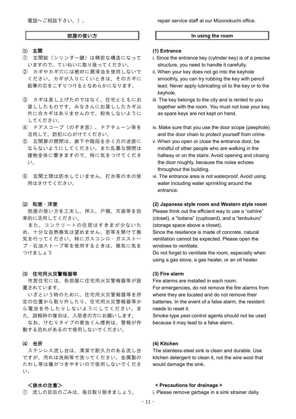電話へご相談下さい。)。

## 部屋の使い方

- ⑴ 玄関
- ① 玄関錠(シリンダー鍵)は精密な構造になって いますので、ていねいに取り扱ってください。
- ② カギやカギ穴には絶対に潤滑油を使用しないで ください。カギが入りにくいときは、そのカギに 鉛筆の芯をこすりつけるとなめらかになります。
- ③ カギは差し上げたのではなく、住宅とともにお 貸ししたものです。みなさんにお貸ししたカギ以 外に合カギはありませんので、紛失しないように してください。
- ④ ドアスコープ(のぞき窓)、ドアチェーン等を 活用して、防犯に心がけてください。
- ⑤ 玄関扉の開閉は、廊下や階段を歩く方の迷惑に ならないようにしてください。また乱暴な開閉は 建物全体に響きますので、特に気をつけてくださ い。
- ⑥ 玄関土間は防水していません。打水等の水の使 用はさけてください。

#### ⑵ 和室・洋室

部屋の使い方を工夫し、押入、戸棚、天袋等を効 率的に活用してください。

また、コンクリートの住居はすきまが少ないた め、十分な自然換気は望めません。窓等を開けて換 気を行ってください。特にガスコンロ・ガスストー ブ・石油ストーブ等を使用するときは、換気に気を つけましょう

#### ⑶ 住宅用火災警報器等

市営住宅には、各部屋に住宅用火災警報器等が設 置されています。

いざという時のために、住宅用火災警報器等を所 定の位置から取り外したり、住宅用火災警報器等か ら電池を外したりしないようにしてください。ま た、誤報時の復旧は、入居者の方にお願いします。

なお、けむりタイプの害虫くん煙剤は、警報が作 動する恐れがあるので使用しないでください。

#### ⑷ 台所

ステンレス流し台は、清潔で耐久力のある流し台 ですが、汚れは洗剤等で洗ってください。金属製の たわし等は傷がつきやすいので使用しないでくださ い。

## <排水の注意>

① 流しの目皿のごみは、毎日取り除きましょう。

## **In using the room**

#### **(1) Entrance**

- i. Since the entrance key (cylinder key) is of a precise structure, you need to handle it carefully.
- ii. When your key does not go into the keyhole smoothly, you can try rubbing the key with pencil lead. Never apply lubricating oil to the key or to the keyhole.
- iii. The key belongs to the city and is rented to you together with the room. You must not lose your key, as spare keys are not kept on hand.
- iv. Make sure that you use the door scope (peephole) and the door chain to protect yourself from crime.
- v. When you open or close the entrance door, be mindful of other people who are walking in the hallway or on the stairs. Avoid opening and closing the door roughly, because the noise echoes throughout the building.
- vi. The entrance area is not waterproof. Avoid using water including water sprinkling around the entrance.

## **(2) Japanese style room and Western style room**

Please think out the efficient way to use a "oshiire" (closet), a "todana" (cupboard), and a "tenbukuro" (storage space above a closet).

Since the residence is made of concrete, natural ventilation cannot be expected. Please open the windows to ventilate.

Do not forget to ventilate the room, especially when using a gas stove, a gas heater, or an oil heater.

## **(3) Fire alarm**

Fire alarms are installed in each room.

For emergencies, do not remove the fire alarms from where they are located and do not remove their batteries. In the event of a false alarm, the resident needs to reset it.

Smoke-type pest-control agents should not be used because it may lead to a false alarm.

## **(4) Kitchen**

The stainless-steel sink is clean and durable. Use kitchen detergent to clean it, not the wire wool that would damage the sink.

## **< Precautions for drainage >**

i. Please remove garbage in a sink strainer daily.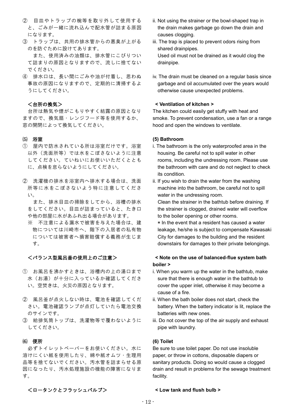- ② 目皿やトラップの椀等を取り外して使用する と、ごみが一緒に流れ込んで配水管が詰まる原因 になります。
- ③ トラップは、共用の排水管からの悪臭が上がる のを防ぐために設けてあります。 また、使用済みの油類は、排水管にこびりつい て詰まりの原因となりますので、流しに捨てない でください。
- ④ 排水口は、長い間にごみや油が付着し、思わぬ 事故の原因になりますので、定期的に清掃するよ うにしてください。

## <台所の換気>

台所は熱気や煙がこもりやすく結露の原因となり ますので、換気扇・レンジフード等を使用するか、 窓の開閉によって換気してください。

## ⑸ 浴室

- ① 屋内で防水されている所は浴室だけです。浴室 以外(洗面所等)では水をこぼさないように注意 してください。ていねいにお使いいただくととも に、点検を怠らないようにしてください。
- ② 洗濯機の排水を浴室内へ排水する場合は、洗面 所等に水をこぼさないよう特に注意してくださ い。

 また、排水目皿の掃除をしてから、浴槽の排水 をしてください。目皿が詰まっていると、たき口 や他の部屋に水があふれ出る場合があります。

※ 不注意による漏水で被害を与えた場合は、建 物については川崎市へ、階下の入居者の私有物 については被害者へ損害賠償する義務が生じま す。

## <バランス型風呂釜の使用上のご注意>

- ① お風呂を沸かすときは、浴槽内の上の湯口まで 水(お湯)が十分に入っているか確認してくださ い。空焚きは、火災の原因となります。
- ② 風呂釜が点火しない時は、電池を確認してくだ さい。電池確認ランプが点灯していたら電池交換 のサインです。
- ③ 給排気筒トップは、洗濯物等で覆わないように してください。

## ⑹ 便所

必ずトイレットペーパーをお使いください。水に 溶けにくい紙を使用したり、綿や紙オムツ・生理用 品等を捨てないでください。汚水管を詰まらせる原 因になったり、汚水処理施設の機能の障害になりま す。

- ii. Not using the strainer or the bowl-shaped trap in the drain makes garbage go down the drain and causes clogging.
- iii. The trap is placed to prevent odors rising from shared drainpipes. Used oil must not be drained as it would clog the drainpipe.
- iv. The drain must be cleaned on a regular basis since garbage and oil accumulated over the years would otherwise cause unexpected problems.

## **< Ventilation of kitchen >**

The kitchen could easily get stuffy with heat and smoke. To prevent condensation, use a fan or a range hood and open the windows to ventilate.

## **(5) Bathroom**

- i. The bathroom is the only waterproofed area in the housing. Be careful not to spill water in other rooms, including the undressing room. Please use the bathroom with care and do not neglect to check its condition.
- ii. If you wish to drain the water from the washing machine into the bathroom, be careful not to spill water in the undressing room.

 Clean the strainer in the bathtub before draining. If the strainer is clogged, drained water will overflow to the boiler opening or other rooms.

\* In the event that a resident has caused a water leakage, he/she is subject to compensate Kawasaki City for damages to the building and the resident downstairs for damages to their private belongings.

## **< Note on the use of balanced-flue system bath boiler >**

- i. When you warm up the water in the bathtub, make sure that there is enough water in the bathtub to cover the upper inlet, otherwise it may become a cause of a fire.
- ii. When the bath boiler does not start, check the battery. When the battery indicator is lit, replace the batteries with new ones.
- iii. Do not cover the top of the air supply and exhaust pipe with laundry.

#### **(6) Toilet**

Be sure to use toilet paper. Do not use insoluble paper, or throw in cottons, disposable diapers or sanitary products. Doing so would cause a clogged drain and result in problems for the sewage treatment facility.

## <ロータンクとフラッシュバルブ>

#### **< Low tank and flush bulb >**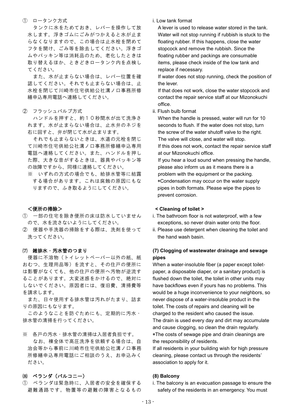## ① ロータンク方式

 タンクに水をためておき、レバーを操作して放 水します。浮きゴムにごみがつかえると水が止ま らなくなりますので、この場合は止水栓を閉めて フタを開け、ごみ等を除去してください。浮きゴ ムやパッキン等は消耗品のため、老化したときは 取り替えるほか、ときどきロータンク内を点検し てください。

 また、水が止まらない場合は、レバー位置を確 認してください。それでも止まらない場合は、止 水栓を閉じて川崎市住宅供給公社溝ノ口事務所修 繕申込専用電話へ連絡してください。

② フラッシュバルブ方式

 ハンドルを押すと、約10秒間水が出て洗浄さ れます。水が止まらない場合は、止水弁のネジを 右に回すと、弁が閉じて水が止まります。

 それでも止まらないときは、水道の元栓を閉じ て川崎市住宅供給公社溝ノ口事務所修繕申込専用 電話へ連絡してください。また、ハンドルを押し た際、大きな音がするときは、器具やパッキン等 の故障ですから、同様に連絡してください。

※ いずれの方式の場合でも、給排水管等に結露 する場合があります。これは腐蝕の原因にもな りますので、ふき取るようにしてください。

## <便所の掃除>

- ① 一部の住宅を除き便所の床は防水していません ので、水を流さないようにしてください。
- ② 便器や手洗器の掃除をする際は、洗剤を使って 洗ってください。

## ⑺ 雑排水・汚水管のつまり

便器に不溶物(トイレットペーパー以外の紙、紙 おむつ、生理用品等)を流すと、その住戸の便所に は影響がなくても、他の住戸の便所へ汚物が逆流す ることがあります。大変迷惑をかけるので、絶対に しないでください。原因者には、復旧費、清掃費等 を請求します。

また、日々使用する排水管は汚れがたまり、詰ま りの原因にもなります。

このようなことを防ぐためにも、定期的に汚水・ 排水管の清掃を行ってください。

- ※ 各戸の汚水・排水管の清掃は入居者負担です。 なお、棟全体で高圧洗浄を依頼する場合は、自 治会等から事前に川崎市住宅供給公社溝ノ口事務 所修繕申込専用電話にご相談のうえ、お申込みく ださい。
- ⑻ ベランダ(バルコニー)
- ① ベランダは緊急時に、入居者の安全を確保する 避難通路です。物置等の避難の障害となるもの

## i. Low tank format

A lever is used to release water stored in the tank. Water will not stop running if rubbish is stuck to the floating rubber. If this happens, close the water stopcock and remove the rubbish. Since the floating rubber and packings are consumable items, please check inside of the low tank and replace if necessary.

If water does not stop running, check the position of the lever.

If that does not work, close the water stopcock and contact the repair service staff at our Mizonokuchi office.

ii. Flush bulb format

When the handle is pressed, water will run for 10 seconds to flush. If the water does not stop, turn the screw of the water shutoff valve to the right. The valve will close, and water will stop. If this does not work, contact the repair service staff at our Mizonokuchi office. If you hear a loud sound when pressing the handle, please also inform us as it means there is a

problem with the equipment or the packing. \*Condensation may occur on the water supply pipes in both formats. Please wipe the pipes to prevent corrosion.

## **< Cleaning of toilet >**

- i. The bathroom floor is not waterproof, with a few exceptions, so never drain water onto the floor.
- ii. Please use detergent when cleaning the toilet and the hand wash basin.

## **(7) Clogging of wastewater drainage and sewage pipes**

When a water-insoluble fiber (a paper except toiletpaper, a disposable diaper, or a sanitary product) is flushed down the toilet, the toilet in other units may have backflows even if yours has no problems. This would be a huge inconvenience to your neighbors, so never dispose of a water-insoluble product in the toilet. The costs of repairs and cleaning will be charged to the resident who caused the issue. The drain is used every day and dirt may accumulate and cause clogging, so clean the drain regularly. \*The costs of sewage pipe and drain cleanings are the responsibility of residents.

If all residents in your building wish for high pressure cleaning, please contact us through the residents' association to apply for it.

## **(8) Balcony**

i. The balcony is an evacuation passage to ensure the safety of the residents in an emergency. You must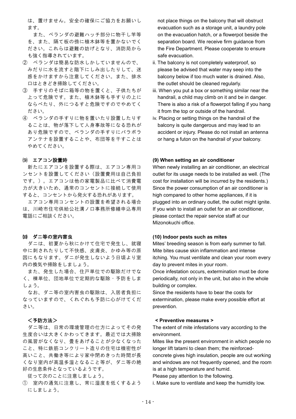は、置けません。安全の確保にご協力をお願いし ます。

 また、ベランダの避難ハッチ部分に物干し竿等 を、また、隔て板の傍に植木鉢等を置かないでく ださい。これらは避難の妨げとなり、消防局から も強く指導されています。

- ② ベランダは簡易な防水しかしていませんので、 みだりに水を流すと階下にしみ出したりして、迷 惑をかけますから注意してください。また、排水 口はときどき掃除してください。
- ③ 手すりのそばに箱等の物を置くと、子供たちが 上って危険です。また、植木鉢等も手すりの上に ならべたり、外につるすと危険ですのでやめてく ださい。
- ④ ベランダの手すりに物を置いたり設置したりす ることは、物が落下して人身事故等になる恐れが あり危険ですので、ベランダの手すりにパラボラ アンテナを設置することや、布団等を干すことは やめてください。

## ⑼ エアコン設置時

新たにエアコンを設置する際は、エアコン専用コ ンセントを設置してください(設置費用は自己負担 です。)。エアコンは他の家電製品に比べて消費電 力が大きいため、通常のコンセントに接続して使用 すると、コンセントから発火する恐れがあります。

エアコン専用コンセントの設置を希望される場合 は、川崎市住宅供給公社溝ノ口事務所修繕申込専用 電話にご相談ください。

### ⑽ ダニ等の室内害虫

ダニは、初夏から秋にかけて住宅で発生し、就寝 中に刺されたりして不快感、皮膚炎、かゆみ等の原 因にもなります。ダニが発生しないよう日頃より室 内の換気や掃除をしましょう。

また、発生した場合、住戸単位での駆除だけでな く、棟単位、団地単位で定期的な駆除・予防をしま しょう。

なお、ダニ等の室内害虫の駆除は、入居者負担に なっていますので、くれぐれも予防に心がけてくだ さい。

## <予防方法>

ダニ等は、日常の環境管理の仕方によってその発 生度合いは大きくかわってきます。最近では大掃除 の風習がなくなり、畳をあげることが少なくなった こと、特に鉄筋コンクリート造りの住宅は機密性が 高いこと、共働き等により家中閉めきった時間が長 くなり室内が高温多湿となること等が、ダニ等の絶 好の生息条件となっているようです。

従って次のことに注意しましょう。

① 室内の通気に注意し、常に湿度を低くするよう にしましょう。

not place things on the balcony that will obstruct evacuation such as a storage unit, a laundry pole on the evacuation hatch, or a flowerpot beside the separation board. We receive firm guidance from the Fire Department. Please cooperate to ensure safe evacuation.

- ii. The balcony is not completely waterproof, so please be advised that water may seep into the balcony below if too much water is drained. Also, the outlet should be cleaned regularly.
- iii. When you put a box or something similar near the handrail, a child may climb on it and be in danger. There is also a risk of a flowerpot falling if you hang it from the top or outside of the handrail.
- iv. Placing or setting things on the handrail of the balcony is quite dangerous and may lead to an accident or injury. Please do not install an antenna or hang a futon on the handrail of your balcony.

## **(9) When setting an air conditioner**

When newly installing an air conditioner, an electrical outlet for its usage needs to be installed as well. (The cost for installation will be incurred by the residents.) Since the power consumption of an air conditioner is high compared to other home appliances, if it is plugged into an ordinary outlet, the outlet might ignite. If you wish to install an outlet for an air conditioner, please contact the repair service staff at our Mizonokuchi office.

## **(10) Indoor pests such as mites**

Mites' breeding season is from early summer to fall. Mite bites cause skin inflammation and intense itching. You must ventilate and clean your room every day to prevent mites in your room.

Once infestation occurs, extermination must be done periodically, not only in the unit, but also in the whole building or complex.

Since the residents have to bear the costs for extermination, please make every possible effort at prevention.

## **< Preventive measures >**

The extent of mite infestations vary according to the environment.

Mites like the present environment in which people no longer lift tatami to clean them; the reinforcedconcrete gives high insulation, people are out working and windows are not frequently opened, and the room

is at a high temperature and humid. Please pay attention to the following.

i. Make sure to ventilate and keep the humidity low.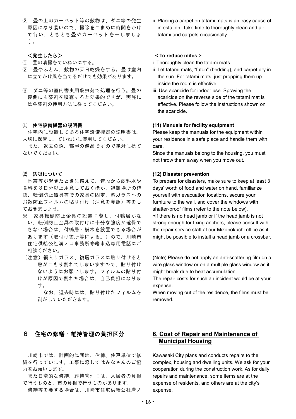② 畳の上のカーペット等の敷物は、ダニ等の発生 原因になり易いので、掃除をこまめに時間をかけ て行い、ときどき畳やカーペットを干しましょ う。

## <発生したら>

- ① 畳の清掃をていねいにする。
- ② 畳やふとん、敷物の天日乾燥をする。畳は室内 に立てかけ風を当てるだけでも効果があります。
- ③ ダニ等の室内害虫用殺虫剤で処理を行う。畳の 裏側にも薬剤を噴霧すると効果的ですが、実施に は各薬剤の使用方法に従ってください。

## ⑾ 住宅設備機器の説明書

住宅内に設置してある住宅設備機器の説明書は、 大切に保管し、ていねいに使用してください。

また、退去の際、部屋の備品ですので絶対に捨て ないでください。

## ⑿ 防災について

地震等が起きたときに備えて、普段から飲料水や 食料を3日分以上用意しておくほか、避難場所の確 認、転倒防止器具等での家具の固定、窓ガラスへの 飛散防止フィルムの貼り付け(注意を参照)等をし ておきましょう。

- ※ 家具転倒防止金具の設置に際し、付鴨居がな い、転倒防止金具の取付けに十分な強度が確保で きない場合は、付鴨居・横木を設置できる場合が あります(取付け箇所等による。)ので、川崎市 住宅供給公社溝ノ口事務所修繕申込専用電話にご 相談ください。
- (注意)網入りガラス、複層ガラスに貼り付けると 熱がこもり割れてしまいますので、貼り付け ないようにお願いします。フィルムの貼り付 けが原因で割れた場合は、自己負担になりま す。

 なお、退去時には、貼り付けたフィルムを 剥がしていただきます。

ii. Placing a carpet on tatami mats is an easy cause of infestation. Take time to thoroughly clean and air tatami and carpets occasionally.

## **< To reduce mites >**

- i. Thoroughly clean the tatami mats.
- ii. Let tatami mats, "futon" (bedding), and carpet dry in the sun. For tatami mats, just propping them up inside the room is effective.
- iii. Use acaricide for indoor use. Spraying the acaricide on the reverse side of the tatami mat is effective. Please follow the instructions shown on the acaricide.

## **(11) Manuals for facility equipment**

Please keep the manuals for the equipment within your residence in a safe place and handle them with care.

Since the manuals belong to the housing, you must not throw them away when you move out.

## **(12) Disaster prevention**

To prepare for disasters, make sure to keep at least 3 days' worth of food and water on hand, familiarize yourself with evacuation locations, secure your furniture to the wall, and cover the windows with shatter-proof films (refer to the note below). \*If there is no head jamb or if the head jamb is not strong enough for fixing anchors, please consult with the repair service staff at our Mizonokuchi office as it might be possible to install a head jamb or a crossbar.

(Note) Please do not apply an anti-scattering film on a wire glass window or on a multiple glass window as it might break due to heat accumulation.

The repair costs for such an incident would be at your expense.

When moving out of the residence, the films must be removed.

# 6 住宅の修繕・維持管理の負担区分

川崎市では、計画的に団地、住棟、住戸単位で修 繕を行っています。工事に際してはみなさんのご協 力をお願いします。

また日常的な修繕、維持管理には、入居者の負担 で行うものと、市の負担で行うものがあります。

修繕等を要する場合は、川崎市住宅供給公社溝ノ

# **6. Cost of Repair and Maintenance of Municipal Housing**

Kawasaki City plans and conducts repairs to the complex, housing and dwelling units. We ask for your cooperation during the construction work. As for daily repairs and maintenance, some items are at the expense of residents, and others are at the city's expense.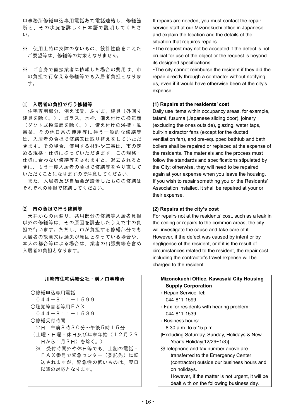口事務所修繕申込専用電話あて電話連絡し、修繕箇 所と、その状況を詳しく日本語で説明してくださ い。

- ※ 使用上特に支障のないもの、設計性能をこえた ご要望等は、修繕等の対象となりません。
- ※ ご自身で直接業者に依頼した場合の費用は、市 の負担で行なえる修繕等でも入居者負担となりま す。

## ⑴ 入居者の負担で行う修繕等

住宅専用部分、例えば畳、ふすま、建具(外回り 建具を除く。)、ガラス、水栓、備え付けの換気扇 (ダクト式換気扇を除く。)、備え付けの浴槽・風 呂釜、その他日常の使用等に伴う一般的な修繕等 は、入居者の負担で修繕又は取り替えをしていただ きます。その場合、使用する材料や工事は、市の定 める規格・仕様に従っていただきます。この規格・ 仕様に合わない修繕等をされますと、退去されると きに、もう一度入居者の負担で修繕等をやり直して いただくことになりますので注意してください。

また、入居者及び自治会が設置したものの修繕は それぞれの負担で修繕してください。

#### ⑵ 市の負担で行う修繕等

天井からの雨漏り、共用部分の修繕等入居者負担 以外の修繕等は、その原因を調査したうえで市の負 担で行います。ただし、市が負担する修繕部分でも 入居者の故意又は過失が原因となっている場合や、 本人の都合等による場合は、業者の出張費等を含め 入居者の負担となります。

## 川崎市住宅供給公社・溝ノ口事務所

○修繕申込専用電話 044-811-1599 ○聴覚障害者等用FAX  $044 - 811 - 1539$ ○修繕受付時間 平日 午前8時30分~午後5時15分 (土曜・日曜・休日及び年末年始(12月29 日から1月3日)を除く。) ※ 受付時間外や休日等でも、上記の電話・ FAX番号で緊急センター(委託先)に転 送されますが、緊急性の低いものは、翌日 以降の対応となります。

If repairs are needed, you must contact the repair service staff at our Mizonokuchi office in Japanese and explain the location and the details of the situation that requires repairs.

\*The request may not be accepted if the defect is not crucial for use of the object or the request is beyond its designed specifications.

\*The city cannot reimburse the resident if they did the repair directly through a contractor without notifying us, even if it would have otherwise been at the city's expense.

## **(1) Repairs at the residents' cost**

Daily use items within occupancy areas, for example, tatami, fusuma (Japanese sliding door), joinery (excluding the ones outside), glazing, water taps, built-in extractor fans (except for the ducted ventilation fan), and pre-equipped bathtub and bath boilers shall be repaired or replaced at the expense of the residents. The materials and the process must follow the standards and specifications stipulated by the City; otherwise, they will need to be repaired again at your expense when you leave the housing. If you wish to repair something you or the Residents' Association installed, it shall be repaired at your or their expense.

## **(2) Repairs at the city's cost**

For repairs not at the residents' cost, such as a leak in the ceiling or repairs to the common areas, the city will investigate the cause and take care of it. However, if the defect was caused by intent or by negligence of the resident, or if it is the result of circumstances related to the resident, the repair cost including the contractor's travel expense will be charged to the resident.

## **Mizonokuchi Office, Kawasaki City Housing Supply Corporation** ◦ Repair Service Tel:

- 044-811-1599
- Fax for residents with hearing problem: 044-811-1539
- Business hours:

8:30 a.m. to 5:15 p.m.

- [Excluding Saturday, Sunday, Holidays & New Year's Holiday(12/29~1/3)]
- ※Telephone and fax number above are transferred to the Emergency Center (contractor) outside our business hours and on holidays.

 However, if the matter is not urgent, it will be dealt with on the following business day.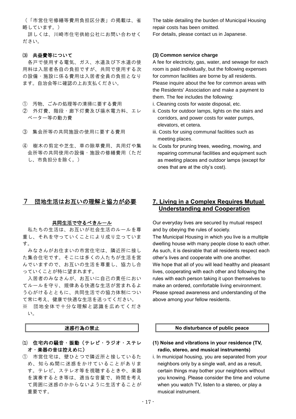(「市営住宅修繕等費用負担区分表」の掲載は、省 略しています。)

詳しくは、川崎市住宅供給公社にお問い合わせく ださい。

## ⑶ 共益費等について

各戸で使用する電気、ガス、水道及び下水道の使 用料は入居者各自の負担ですが、共同で使用する次 の設備・施設に係る費用は入居者全員の負担となり ます。自治会等に確認の上お支払ください。

- ① 汚物、ごみの処理等の清掃に要する費用
- ② 外灯費、階段・廊下灯費及び揚水電力料、エレ ベーター等の動力費
- ③ 集会所等の共同施設の使用に要する費用
- ④ 樹木の剪定や芝生、草の除草費用、共用灯や集 会所等の共同使用の設備・施設の修繕費用(ただ し、市負担分を除く。)

# 7 団地生活はお互いの理解と協力が必要

#### 共同生活で守るべきルール

私たちの生活は、お互いが社会生活のルールを尊 重し、それを守っていくことにより成り立っていま す。

みなさんがお住まいの市営住宅は、隣近所に接し た集合住宅です。そこには多くの人たちが生活を営 んでいますので、お互いの生活を尊重し、協力し合 っていくことが特に望まれます。

入居者のみなさんが、お互いに自己の責任におい てルールを守り、規律ある快適な生活が営まれるよ う心がけるとともに、共同生活での協力体制につい て常に考え、健康で快適な生活を送ってください。

※ 団地全体で十分な理解と認識を広めてくださ い。

## 迷惑行為の禁止

- ⑴ 住宅内の騒音・振動(テレビ・ラジオ・ステレ オ・楽器の音は控えめに)
- ① 市営住宅は、壁ひとつで隣近所と接しているた め、知らぬ間に迷惑をかけていることがありま す。テレビ、ステレオ等を視聴するときや、楽器 を演奏するとき等は、適当な音量で、時間を考え て周囲に迷惑のかからないように生活することが 重要です。

The table detailing the burden of Municipal Housing repair costs has been omitted.

For details, please contact us in Japanese.

## **(3) Common service charge**

A fee for electricity, gas, water, and sewage for each room is paid individually, but the following expenses for common facilities are borne by all residents. Please inquire about the fee for common areas with the Residents' Association and make a payment to them. The fee includes the following:

- i. Cleaning costs for waste disposal, etc.
- ii. Costs for outdoor lamps, lights on the stairs and corridors, and power costs for water pumps, elevators, et cetera.
- iii. Costs for using communal facilities such as meeting places.
- iv. Costs for pruning trees, weeding, mowing, and repairing communal facilities and equipment such as meeting places and outdoor lamps (except for ones that are at the city's cost).

# **7. Living in a Complex Requires Mutual Understanding and Cooperation**

Our everyday lives are secured by mutual respect and by obeying the rules of society.

The Municipal Housing in which you live is a multiple dwelling house with many people close to each other. As such, it is desirable that all residents respect each other's lives and cooperate with one another. We hope that all of you will lead healthy and pleasant lives, cooperating with each other and following the rules with each person taking it upon themselves to make an ordered, comfortable living environment. Please spread awareness and understanding of the above among your fellow residents.

#### **No disturbance of public peace**

- **(1) Noise and vibrations in your residence (TV, radio, stereo, and musical instruments)**
- i. In municipal housing, you are separated from your neighbors only by a single wall, and as a result, certain things may bother your neighbors without you knowing. Please consider the time and volume when you watch TV, listen to a stereo, or play a musical instrument.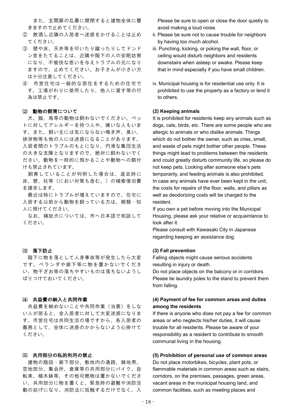また、玄関扉の乱暴に開閉すると建物全体に響 きますので止めてください。

- ② 飲酒し近隣の入居者へ迷惑をかけることは止め てください。
- ③ 壁や床、天井等を叩いたり蹴ったりしてドンド ン音をたてることは、近隣や階下の人の安眠妨害 になり、不愉快な思いを与えトラブルの元になり ますので、止めてください。お子さんが小さい方 は十分注意してください。
- ④ 市営住宅は一般的な居住をするための住宅で す。工場がわりに使用したり、他人に貸す等の行 為は禁止です。

## ⑵ 動物の飼育について

犬、猫、鳥等の動物は飼わないでください。ペッ トに対してアレルギーを持つ人や、嫌いな人もいま す。また、飼い主には気にならない鳴き声、臭い、 排泄物等も他の人には迷惑になることがあります。 入居者間のトラブルのもとになり、円滑な集団生活 の大きな支障となりますので、絶対に飼わないでく ださい。動物を一時的に預かることや動物への餌付 けも禁止されています。

飼育していることが判明した場合は、退去時に 床、壁、柱等(におい対策も含む。)の補修復旧費 を請求します。

最近は特にトラブルが増えていますので、住宅に 入居する以前から動物を飼っている方は、親類・知 人に預けてください。

なお、補助犬については、市へ日本語で相談して ください。

## ⑶ 落下防止

階下に物を落として人身事故等が発生したら大変 です。ベランダや廊下等に物を置かないでくださ い。物干ざお等の落ちやすいものは落ちないようし ばりつけておいてください。

## ⑷ 共益費の納入と共同作業

共益費を納めないことや共同作業(当番)をしな い人が居ると、全入居者に対して大変迷惑になりま す。市営住宅は共同生活の場ですから、各入居者の 義務として、全体に迷惑のかからないよう心掛けて ください。

## ⑸ 共用部分の私的利用の禁止

建物の階段・廊下部分、敷地内の通路、緑地帯、 空地部分、集会所、倉庫等の共用部分にバイク、自 転車、植木鉢等、その他可燃物は置かないでくださ い。共用部分に物を置くと、緊急時の避難や消防活 動の妨げになり、消防法に抵触するだけでなく、入 Please be sure to open or close the door quietly to avoid making a loud noise.

- ii. Please be sure not to cause trouble for neighbors by having too much alcohol.
- iii. Punching, kicking, or poking the wall, floor, or ceiling would disturb neighbors and residents downstairs when asleep or awake. Please keep that in mind especially if you have small children.
- iv. Municipal housing is for residential use only. It is prohibited to use the property as a factory or lend it to others.

## **(2) Keeping animals**

It is prohibited for residents keep any animals such as dogs, cats, birds, etc. There are some people who are allergic to animals or who dislike animals. Things which do not bother the owner, such as cries, smell, and waste of pets might bother other people. These things might lead to problems between the residents and could greatly disturb community life, so please do not keep pets. Looking after someone else's pets temporarily, and feeding animals is also prohibited. In case any animals have ever been kept in the unit, the costs for repairs of the floor, walls, and pillars as well as deodorizing costs will be charged to the resident.

If you own a pet before moving into the Municipal Housing, please ask your relative or acquaintance to look after it.

Please consult with Kawasaki City in Japanese regarding keeping an assistance dog.

## **(3) Fall prevention**

Falling objects might cause serious accidents resulting in injury or death.

Do not place objects on the balcony or in corridors. Please tie laundry poles to the stand to prevent them from falling.

## **(4) Payment of fee for common areas and duties among the residents**

If there is anyone who does not pay a fee for common areas or who neglects his/her duties, it will cause trouble for all residents. Please be aware of your responsibility as a resident to contribute to smooth communal living in the housing.

## **(5) Prohibition of personal use of common areas**

Do not place motorbikes, bicycles, plant pots, or flammable materials in common areas such as stairs, corridors, on the premises, passages, green areas, vacant areas in the municipal housing land, and common facilities, such as meeting places and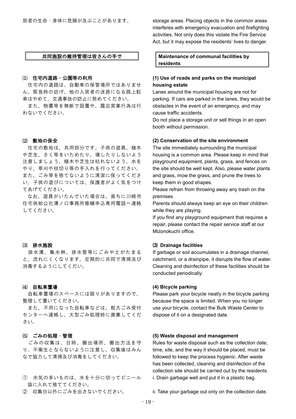# 共同施設の維持管理は皆さんの手で

#### ⑴ 住宅内道路・公園等の利用

住宅内の道路は、自動車の保管場所ではありませ ん。緊急時の妨げ、他の入居者の迷惑になる路上駐 車はやめて、交通事故の防止に努めてください。

また、物置等を無断で設置や、露店営業行為は行 わないでください。

## ⑵ 敷地の保全

住宅の敷地は、共用部分です。子供の遊具、植木 や芝生、さく等をいためたり、壊したりしないよう 注意しましょう。植木や芝生は枯れないよう、水を やり、草刈や枝切り等の手入れを行ってください。 また、ごみ等を捨てないように清潔に保ってくださ い。子供の遊びについては、保護者がよく気をつけ てあげてください。

なお、遊具がいたんでいた場合は、直ちに川崎市 住宅供給公社溝ノ口事務所修繕申込専用電話へ連絡 してください。

## ⑶ 排水施設

排水溝、集水桝、排水管等にごみや土がたまる と、流れにくくなります。定期的に共同で清掃及び 消毒するようにしてくだい。

## ⑷ 自転車置場

自転車置場のスペースには限りがありますので、 整理して置いてください。

また、不用になった自転車などは、粗大ごみ受付 センターへ連絡し、大型ごみ処理時に廃棄してくだ さい。

## ⑸ ごみの処理・管理

ごみの収集は、日時、搬出場所、搬出方法を守 り、不衛生とならないように注意し、収集後はみん なで協力して清掃及び消毒をしてください。

- ① 水気の多いものは、水を十分に切ってビニール 袋に入れて捨ててください。
- ② 収集日以外にごみを出さないでください。

storage areas. Placing objects in the common areas interferes with emergency evacuation and firefighting activities. Not only does this violate the Fire Service Act, but it may expose the residents' lives to danger.

**Maintenance of communal facilities by residents**

## **(1) Use of roads and parks on the municipal housing estate**

Lanes around the municipal housing are not for parking. If cars are parked in the lanes, they would be obstacles in the event of an emergency, and may cause traffic accidents.

Do not place a storage unit or sell things in an open booth without permission.

#### **(2) Conservation of the site environment**

The site immediately surrounding the municipal housing is a common area. Please keep in mind that playground equipment, plants, grass, and fences on the site should be well kept. Also, please water plants and grass, mow the grass, and prune the trees to keep them in good shapes.

Please refrain from throwing away any trash on the premises.

Parents should always keep an eye on their children while they are playing.

If you find any playground equipment that requires a repair, please contact the repair service staff at our Mizonokuchi office.

## ⑶ **Drainage facilities**

If garbage or soil accumulates in a drainage channel, catchment, or a drainpipe, it disrupts the flow of water. Cleaning and disinfection of these facilities should be conducted periodically.

### **(4) Bicycle parking**

Please park your bicycle neatly in the bicycle parking because the space is limited. When you no longer use your bicycle, contact the Bulk Waste Center to dispose of it on a designated date.

## **(5) Waste disposal and management**

Rules for waste disposal such as the collection date, time, site, and the way it should be placed, must be followed to keep the process hygienic. After waste has been collected, cleaning and disinfection of the collection site should be carried out by the residents. i. Drain garbage well and put it in a plastic bag.

ii. Take your garbage out only on the collection date.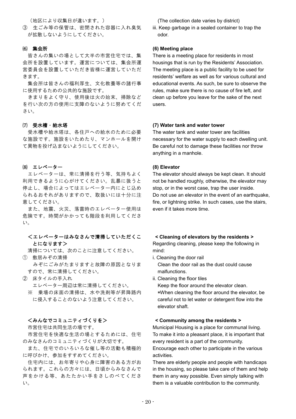(地区により収集日が違います。)

③ 生ごみ等の保管は、密閉された容器に入れ臭気 が拡散しないようにしてください。

#### ⑹ 集会所

皆さんの集いの場として大半の市営住宅では、集 会所を設置しています。運営については、集会所運 営委員会を設置していただき皆様に運営していただ きます。

集会所は皆さんの福利厚生、文化教養等の諸行事 に使用するための公共的な施設です。

きまりをよく守り、使用後は火の始末、掃除など を行い次の方の使用に支障のないように努めてくだ さい。

## ⑺ 受水槽・給水塔

受水槽や給水塔は、各住戸への給水のために必要 な施設です。施設をいためたり、マンホールを開け て異物を投げ込まないようにしてください。

#### ⑻ エレベーター

エレベーターは、常に清掃を行う等、気持ちよく 利用できるように心がけてください。乱暴に扱うと 停止し、場合によってはエレベーター内にとじ込め られるおそれがありますので、取扱いには十分に注 意してください。

また、地震、火災、落雷時のエレベーター使用は 危険です。時間がかかっても階段を利用してくださ い。

## <エレベーターはみなさんで清掃していただくこ とになります>

清掃については、次のことに注意してください。

- ① 敷居みぞの清掃 みぞにごみがたまりますと故障の原因となりま すので、常に清掃してください。
- ② 床タイルの手入れ エレベーター周辺は常に清掃してください。
	- ※ 乗場の床面の清掃は、水や洗剤等が昇降路内 に侵入することのないよう注意してください。

## <みんなでコミュニティづくりを>

市営住宅は共同生活の場です。

市営住宅を快適な生活の場とするためには、住宅 のみなさんのコミュニティづくりが大切です。

また、住宅でのいろいろな催し等の活動も積極的 に呼びかけ、参加をすすめてください。

住宅内には、お年寄りや心身に障害のある方がお られます。これらの方々には、日頃からみなさんで 声をかける等、あたたかい手をさしのべてくださ い。

(The collection date varies by district)

iii. Keep garbage in a sealed container to trap the odor.

## **(6) Meeting place**

There is a meeting place for residents in most housings that is run by the Residents' Association. The meeting place is a public facility to be used for residents' welfare as well as for various cultural and educational events. As such, be sure to observe the rules, make sure there is no cause of fire left, and clean up before you leave for the sake of the next users.

#### **(7) Water tank and water tower**

The water tank and water tower are facilities necessary for the water supply to each dwelling unit. Be careful not to damage these facilities nor throw anything in a manhole.

## **(8) Elevator**

The elevator should always be kept clean. It should not be handled roughly, otherwise, the elevator may stop, or in the worst case, trap the user inside. Do not use an elevator in the event of an earthquake, fire, or lightning strike. In such cases, use the stairs, even if it takes more time.

## **< Cleaning of elevators by the residents >**

Regarding cleaning, please keep the following in mind:

- i. Cleaning the door rail Clean the door rail as the dust could cause malfunctions.
- ii. Cleaning the floor tiles

Keep the floor around the elevator clean. \*When cleaning the floor around the elevator, be careful not to let water or detergent flow into the elevator shaft.

## **< Community among the residents >**

Municipal Housing is a place for communal living. To make it into a pleasant place, it is important that every resident is a part of the community. Encourage each other to participate in the various activities.

There are elderly people and people with handicaps in the housing, so please take care of them and help them in any way possible. Even simply talking with them is a valuable contribution to the community.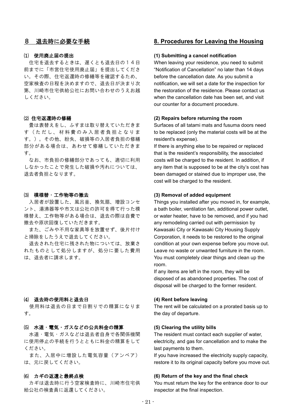## 8 退去時に必要な手続

## ⑴ 使用廃止届の提出

住宅を退去するときは、遅くとも退去日の14日 前までに「市営住宅使用廃止届」を提出してくださ い。その際、住宅返還時の修繕等を確認するため、 空家検査の日程を決めますので、退去日が決まり次 第、川崎市住宅供給公社にお問い合わせのうえお越 しください。

#### ⑵ 住宅返還時の修繕

畳は表替えをし、ふすまは取り替えていただきま す(ただし、材料費のみ入居者負担となりま す。)。その他、紛失、破損等の入居者負担の修繕 部分がある場合は、あわせて修繕していただきま す。

なお、市負担の修繕部分であっても、適切に利用 しなかったことで発生した破損や汚れについては、 退去者負担となります。

## ⑶ 模様替・工作物等の撤去

入居者が設置した、風呂釜、換気扇、増設コンセ ント、湯沸器等や市又は公社の許可を得て行った模 様替え、工作物等がある場合は、退去の際は自費で 撤去や原状回復していただきます。

また、ごみや不用な家具等を放置せず、後片付け と掃除をしたうえで退去してください。

退去された住宅に残された物については、放棄さ れたものとして処分しますが、処分に要した費用 は、退去者に請求します。

## ⑷ 退去時の使用料と退去日

使用料は退去の日まで日割りでの精算になりま す。

#### ⑸ 水道・電気・ガスなどの公共料金の精算

水道・電気・ガスなどは退去者自身で各関係機関 に使用停止の手続を行うとともに料金の精算をして ください。

また、入居中に増設した電気容量(アンペア) は、元に戻してください。

#### ⑹ カギの返還と最終点検

カギは退去時に行う空家検査時に、川崎市住宅供 給公社の検査員に返還してください。

# **8. Procedures for Leaving the Housing**

## **(1) Submitting a cancel notification**

When leaving your residence, you need to submit "Notification of Cancellation" no later than 14 days before the cancellation date. As you submit a notification, we will set a date for the inspection for the restoration of the residence. Please contact us when the cancellation date has been set, and visit our counter for a document procedure.

#### **(2) Repairs before returning the room**

Surfaces of all tatami mats and fusuma doors need to be replaced (only the material costs will be at the resident's expense).

If there is anything else to be repaired or replaced that is the resident's responsibility, the associated costs will be charged to the resident. In addition, if any item that is supposed to be at the city's cost has been damaged or stained due to improper use, the cost will be charged to the resident.

## **(3) Removal of added equipment**

Things you installed after you moved in, for example, a bath boiler, ventilation fan, additional power outlet, or water heater, have to be removed, and if you had any remodeling carried out with permission by Kawasaki City or Kawasaki City Housing Supply Corporation, it needs to be restored to the original condition at your own expense before you move out. Leave no waste or unwanted furniture in the room. You must completely clear things and clean up the room.

If any items are left in the room, they will be disposed of as abandoned properties. The cost of disposal will be charged to the former resident.

## **(4) Rent before leaving**

The rent will be calculated on a prorated basis up to the day of departure.

### **(5) Clearing the utility bills**

The resident must contact each supplier of water, electricity, and gas for cancellation and to make the last payments to them.

If you have increased the electricity supply capacity, restore it to its original capacity before you move out.

## **(6) Return of the key and the final check**

You must return the key for the entrance door to our inspector at the final inspection.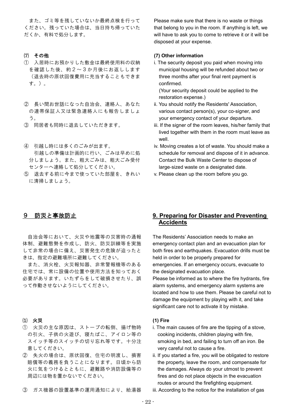また、ゴミ等を残していないか最終点検を行って ください。残っていた場合は、当日持ち帰っていた だくか、有料で処分します。

## ⑺ その他

- ① 入居時にお預かりした敷金は最終使用料の収納 を確認した後、約2~3か月後にお返しします (退去時の原状回復費用に充当することもできま す。)。
- ② 長い間お世話になった自治会、連絡人、あなた の連帯保証人又は緊急連絡人にも報告しましょ う。
- ③ 同居者も同時に退去していただきます。
- ④ 引越し時には多くのごみが出ます。 引越しの準備は計画的に行い、ごみは早めに処 分しましょう。また、粗大ごみは、粗大ごみ受付 センターへ連絡して処分してください。
- ⑤ 退去する前に今まで使っていた部屋を、きれい に清掃しましょう。

## 9 防災と事故防止

自治会等において、火災や地震等の災害時の通報 体制、避難態勢を作成し、防火、防災訓練等を実施 して非常の場合に備え、災害発生の危険が迫ったと きは、指定の避難場所に避難してください。

また、消火栓、火災報知器、非常警報機等のある 住宅では、常に設備の位置や使用方法を知っておく 必要があります。いたずらをして破損させたり、誤 って作動させないようにしてください。

## ⑴ 火災

- ① 火災の主な原因は、ストーブの転倒、揚げ物時 の引火、子供の火遊び、寝たばこ、アイロン等の スイッチ等のスイッチの切り忘れ等です。十分注 意してください。
- ② 失火の場合は、原状回復、住宅の明渡し、損害 賠償等の義務を負うことになります。日頃から防 火に気をつけるとともに、避難路や消防設備等の 周辺には物を置かないでください。
- ③ ガス機器の設置基準の運用通知により、給湯器

Please make sure that there is no waste or things that belong to you in the room. If anything is left, we will have to ask you to come to retrieve it or it will be disposed at your expense.

## **(7) Other information**

i. The security deposit you paid when moving into municipal housing will be refunded about two or three months after your final rent payment is confirmed.

(Your security deposit could be applied to the restoration expense.)

- ii. You should notify the Residents' Association, various contact person(s), your co-signer, and your emergency contact of your departure.
- iii. If the signer of the room leaves, his/her family that lived together with them in the room must leave as well.
- iv. Moving creates a lot of waste. You should make a schedule for removal and dispose of it in advance. Contact the Bulk Waste Center to dispose of large-sized waste on a designated date.
- v. Please clean up the room before you go.

# **9. Preparing for Disaster and Preventing Accidents**

The Residents' Association needs to make an emergency contact plan and an evacuation plan for both fires and earthquakes. Evacuation drills must be held in order to be properly prepared for emergencies. If an emergency occurs, evacuate to the designated evacuation place.

Please be informed as to where the fire hydrants, fire alarm systems, and emergency alarm systems are located and how to use them. Please be careful not to damage the equipment by playing with it, and take significant care not to activate it by mistake.

## **(1) Fire**

- i. The main causes of fire are the tipping of a stove, cooking incidents, children playing with fire, smoking in bed, and failing to turn off an iron. Be very careful not to cause a fire.
- ii. If you started a fire, you will be obligated to restore the property, leave the room, and compensate for the damages. Always do your utmost to prevent fires and do not place objects in the evacuation routes or around the firefighting equipment.
- iii. According to the notice for the installation of gas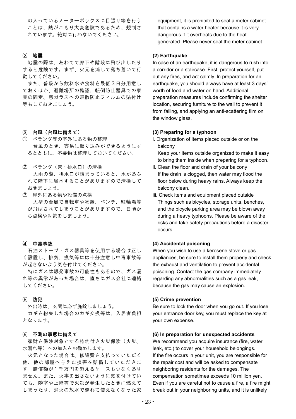の入っているメーターボックスに目張り等を行う ことは、熱がこもり大変危険であるため、規制さ れています。絶対に行わないでください。

#### ⑵ 地震

地震の際は、あわてて廊下や階段に飛び出したり すると危険です。まず、火元を消して落ち着いて行 動してください。

また、普段から飲料水や食料を最低3日分用意し ておくほか、避難場所の確認、転倒防止器具での家 具の固定、窓ガラスへの飛散防止フィルムの貼付け 等もしておきましょう。

- ⑶ 台風(台風に備えて)
- ① ベランダ等の室外にある物の整理 台風のとき、容易に取り込みができるようにす るとともに、不要物は整理しておいてください。
- ② ベランダ(床・排水口)の清掃 大雨の際、排水口が詰まっていると、水があふ れて階下に漏水することがありますので清掃して おきましょう。
- ③ 屋外にある物や設備の点検 大型の台風で自転車や物置、ベンチ、駐輪場等 が飛ばされてしまうことがありますので、日頃か ら点検や対策をしましょう。

## ⑷ 中毒事故

石油ストーブ・ガス器具等を使用する場合は正し く設置し、排気、換気等には十分注意し中毒事故等 が起きないよう気を付けてください。

特にガスは爆発事故の可能性もあるので、ガス漏 れ等の異常があった場合は、直ちにガス会社に連絡 してください。

#### ⑸ 防犯

外出時は、玄関に必ず施錠しましょう。 カギを紛失した場合のカギ交換等は、入居者負担 となります。

## ⑹ 不測の事態に備えて

家財を保険対象とする特約付き火災保険(火災、 水漏れ等)への加入をお勧めします。

火元となった場合は、修繕費を支払っていただく 他、他の部屋へ与えた損害を賠償していただきま す。賠償額が1千万円を超えるケースも少なくあり ません。また、火事を出さないように気を付けてい ても、隣室や上階等で火災が発生したときに燃えて しまったり、消火の放水で濡れて使えなくなった家 equipment, it is prohibited to seal a meter cabinet that contains a water heater because it is very dangerous if it overheats due to the heat generated. Please never seal the meter cabinet.

#### **(2) Earthquake**

In case of an earthquake, it is dangerous to rush into a corridor or a staircase. First, protect yourself, put out any fires, and act calmly. In preparation for an earthquake, you should always have at least 3 days' worth of food and water on hand. Additional preparation measures include confirming the shelter location, securing furniture to the wall to prevent it from falling, and applying an anti-scattering film on the window glass.

#### **(3) Preparing for a typhoon**

i. Organization of items placed outside or on the balcony

Keep your items outside organized to make it easy to bring them inside when preparing for a typhoon.

- ii. Clean the floor and drain of your balcony If the drain is clogged, then water may flood the floor below during heavy rains. Always keep the balcony clean.
- iii. Check items and equipment placed outside Things such as bicycles, storage units, benches, and the bicycle parking area may be blown away during a heavy typhoons. Please be aware of the risks and take safety precautions before a disaster occurs.

## **(4) Accidental poisoning**

When you wish to use a kerosene stove or gas appliances, be sure to install them properly and check the exhaust and ventilation to prevent accidental poisoning. Contact the gas company immediately regarding any abnormalities such as a gas leak, because the gas may cause an explosion.

#### **(5) Crime prevention**

Be sure to lock the door when you go out. If you lose your entrance door key, you must replace the key at your own expense.

## **(6) In preparation for unexpected accidents**

We recommend you acquire insurance (fire, water leak, etc.) to cover your household belongings. If the fire occurs in your unit, you are responsible for the repair cost and will be asked to compensate neighboring residents for the damages. The compensation sometimes exceeds 10 million yen. Even if you are careful not to cause a fire, a fire might break out in your neighboring units, and it is unlikely